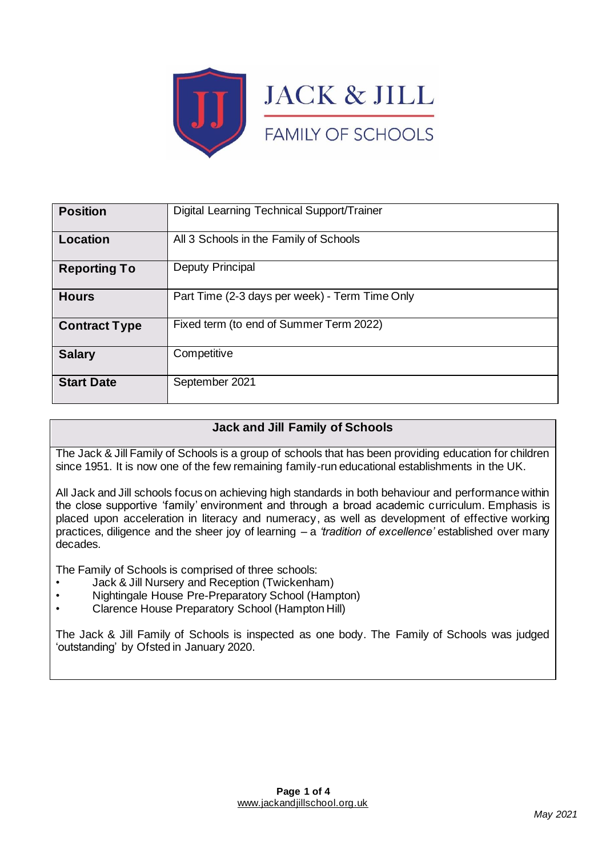

| <b>Position</b>      | Digital Learning Technical Support/Trainer     |
|----------------------|------------------------------------------------|
| Location             | All 3 Schools in the Family of Schools         |
| <b>Reporting To</b>  | Deputy Principal                               |
| <b>Hours</b>         | Part Time (2-3 days per week) - Term Time Only |
| <b>Contract Type</b> | Fixed term (to end of Summer Term 2022)        |
| <b>Salary</b>        | Competitive                                    |
| <b>Start Date</b>    | September 2021                                 |

# **Jack and Jill Family of Schools**

The Jack & Jill Family of Schools is a group of schools that has been providing education for children since 1951. It is now one of the few remaining family-run educational establishments in the UK.

All Jack and Jill schools focus on achieving high standards in both behaviour and performance within the close supportive 'family' environment and through a broad academic curriculum. Emphasis is placed upon acceleration in literacy and numeracy, as well as development of effective working practices, diligence and the sheer joy of learning – a *'tradition of excellence'* established over many decades.

The Family of Schools is comprised of three schools:

- Jack & Jill Nursery and Reception (Twickenham)
- Nightingale House Pre-Preparatory School (Hampton)
- Clarence House Preparatory School (Hampton Hill)

The Jack & Jill Family of Schools is inspected as one body. The Family of Schools was judged 'outstanding' by Ofsted in January 2020.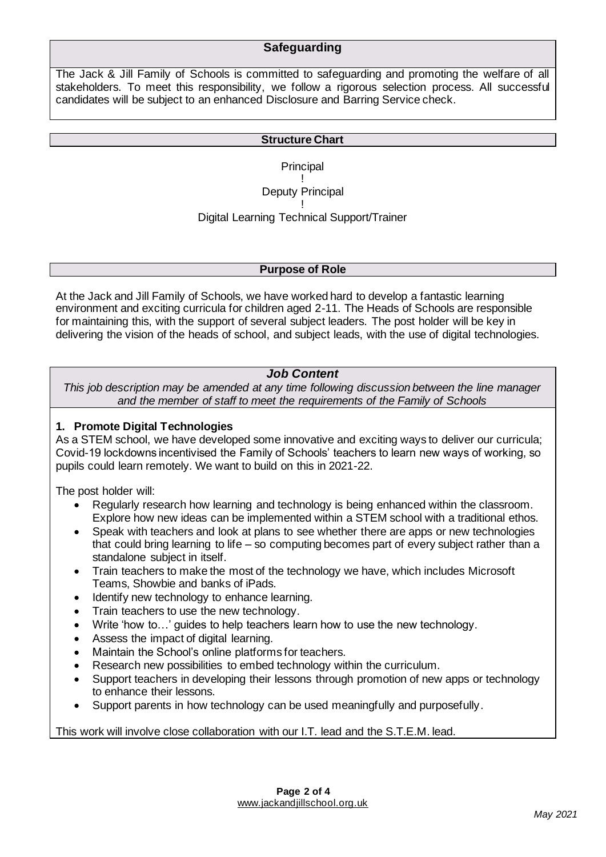### **Safeguarding**

The Jack & Jill Family of Schools is committed to safeguarding and promoting the welfare of all stakeholders. To meet this responsibility, we follow a rigorous selection process. All successful candidates will be subject to an enhanced Disclosure and Barring Service check.

#### **Structure Chart**

**Principal** 

! Deputy Principal

! Digital Learning Technical Support/Trainer

#### **Purpose of Role**

At the Jack and Jill Family of Schools, we have worked hard to develop a fantastic learning environment and exciting curricula for children aged 2-11. The Heads of Schools are responsible for maintaining this, with the support of several subject leaders. The post holder will be key in delivering the vision of the heads of school, and subject leads, with the use of digital technologies.

#### *Job Content*

*This job description may be amended at any time following discussion between the line manager and the member of staff to meet the requirements of the Family of Schools*

### **1. Promote Digital Technologies**

As a STEM school, we have developed some innovative and exciting ways to deliver our curricula; Covid-19 lockdowns incentivised the Family of Schools' teachers to learn new ways of working, so pupils could learn remotely. We want to build on this in 2021-22.

The post holder will:

- Regularly research how learning and technology is being enhanced within the classroom. Explore how new ideas can be implemented within a STEM school with a traditional ethos.
- Speak with teachers and look at plans to see whether there are apps or new technologies that could bring learning to life – so computing becomes part of every subject rather than a standalone subject in itself.
- Train teachers to make the most of the technology we have, which includes Microsoft Teams, Showbie and banks of iPads.
- Identify new technology to enhance learning.
- Train teachers to use the new technology.
- Write 'how to…' guides to help teachers learn how to use the new technology.
- Assess the impact of digital learning.
- Maintain the School's online platforms for teachers.
- Research new possibilities to embed technology within the curriculum.
- Support teachers in developing their lessons through promotion of new apps or technology to enhance their lessons.
- Support parents in how technology can be used meaningfully and purposefully.

This work will involve close collaboration with our I.T. lead and the S.T.E.M. lead.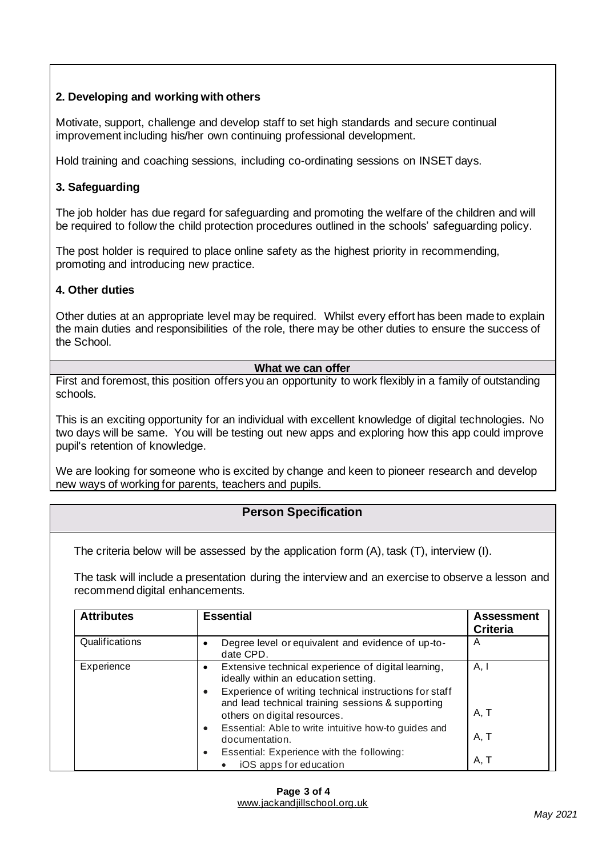### **2. Developing and working with others**

Motivate, support, challenge and develop staff to set high standards and secure continual improvement including his/her own continuing professional development.

Hold training and coaching sessions, including co-ordinating sessions on INSET days.

### **3. Safeguarding**

The job holder has due regard for safeguarding and promoting the welfare of the children and will be required to follow the child protection procedures outlined in the schools' safeguarding policy.

The post holder is required to place online safety as the highest priority in recommending, promoting and introducing new practice.

### **4. Other duties**

Other duties at an appropriate level may be required. Whilst every effort has been made to explain the main duties and responsibilities of the role, there may be other duties to ensure the success of the School.

#### **What we can offer**

First and foremost, this position offers you an opportunity to work flexibly in a family of outstanding schools.

This is an exciting opportunity for an individual with excellent knowledge of digital technologies. No two days will be same. You will be testing out new apps and exploring how this app could improve pupil's retention of knowledge.

We are looking for someone who is excited by change and keen to pioneer research and develop new ways of working for parents, teachers and pupils.

# **Person Specification**

The criteria below will be assessed by the application form (A), task (T), interview (I).

The task will include a presentation during the interview and an exercise to observe a lesson and recommend digital enhancements.

| <b>Attributes</b> | <b>Essential</b>                                                                                                                            | <b>Assessment</b><br><b>Criteria</b> |
|-------------------|---------------------------------------------------------------------------------------------------------------------------------------------|--------------------------------------|
| Qualifications    | Degree level or equivalent and evidence of up-to-<br>date CPD.                                                                              | A                                    |
| Experience        | Extensive technical experience of digital learning,<br>$\bullet$<br>ideally within an education setting.                                    | A, I                                 |
|                   | Experience of writing technical instructions for staff<br>and lead technical training sessions & supporting<br>others on digital resources. | A, T                                 |
|                   | Essential: Able to write intuitive how-to guides and<br>documentation.                                                                      | A, T                                 |
|                   | Essential: Experience with the following:<br>$\bullet$<br>iOS apps for education                                                            | A, T                                 |